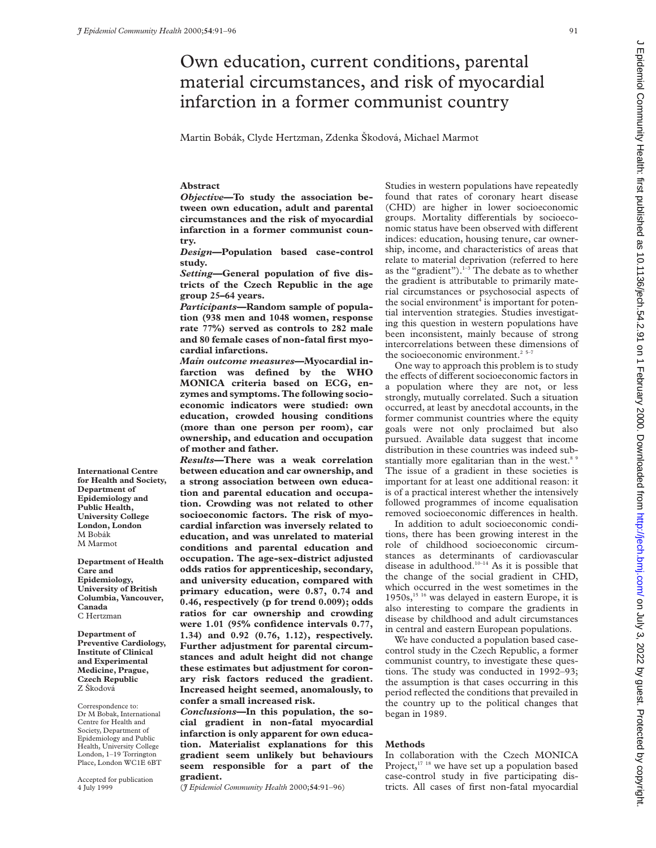# Own education, current conditions, parental material circumstances, and risk of myocardial infarction in a former communist country

Martin Bobák, Clyde Hertzman, Zdenka Škodová, Michael Marmot

# **Abstract**

*Objective***—To study the association between own education, adult and parental circumstances and the risk of myocardial infarction in a former communist country.**

*Design***—Population based case-control study.**

*Setting***—General population of five districts of the Czech Republic in the age group 25–64 years.**

*Participants***—Random sample of population (938 men and 1048 women, response rate 77%) served as controls to 282 male and 80 female cases of non-fatal first myocardial infarctions.**

*Main outcome measures***—Myocardial infarction was defined by the WHO MONICA criteria based on ECG, enzymes and symptoms. The following socioeconomic indicators were studied: own education, crowded housing conditions (more than one person per room), car ownership, and education and occupation of mother and father.**

*Results***—There was a weak correlation between education and car ownership, and a strong association between own education and parental education and occupation. Crowding was not related to other socioeconomic factors. The risk of myocardial infarction was inversely related to education, and was unrelated to material conditions and parental education and occupation. The age-sex-district adjusted odds ratios for apprenticeship, secondary, and university education, compared with primary education, were 0.87, 0.74 and 0.46, respectively (p for trend 0.009); odds ratios for car ownership and crowding were 1.01 (95% confidence intervals 0.77, 1.34) and 0.92 (0.76, 1.12), respectively. Further adjustment for parental circumstances and adult height did not change these estimates but adjustment for coronary risk factors reduced the gradient. Increased height seemed, anomalously, to confer a small increased risk.**

*Conclusions***—In this population, the social gradient in non-fatal myocardial infarction is only apparent for own education. Materialist explanations for this gradient seem unlikely but behaviours seem responsible for a part of the gradient.**

(*J Epidemiol Community Health* 2000;**54**:91–96)

Studies in western populations have repeatedly found that rates of coronary heart disease (CHD) are higher in lower socioeconomic groups. Mortality differentials by socioeconomic status have been observed with different indices: education, housing tenure, car ownership, income, and characteristics of areas that relate to material deprivation (referred to here as the "gradient"). $1-3$  The debate as to whether the gradient is attributable to primarily material circumstances or psychosocial aspects of the social environment<sup>4</sup> is important for potential intervention strategies. Studies investigating this question in western populations have been inconsistent, mainly because of strong intercorrelations between these dimensions of the socioeconomic environment.<sup>2 5-7</sup>

One way to approach this problem is to study the effects of different socioeconomic factors in a population where they are not, or less strongly, mutually correlated. Such a situation occurred, at least by anecdotal accounts, in the former communist countries where the equity goals were not only proclaimed but also pursued. Available data suggest that income distribution in these countries was indeed substantially more egalitarian than in the west.<sup>89</sup> The issue of a gradient in these societies is important for at least one additional reason: it is of a practical interest whether the intensively followed programmes of income equalisation removed socioeconomic differences in health.

In addition to adult socioeconomic conditions, there has been growing interest in the role of childhood socioeconomic circumstances as determinants of cardiovascular disease in adulthood.10–14 As it is possible that the change of the social gradient in CHD, which occurred in the west sometimes in the 1950s,<sup>15 16</sup> was delayed in eastern Europe, it is also interesting to compare the gradients in disease by childhood and adult circumstances in central and eastern European populations.

We have conducted a population based casecontrol study in the Czech Republic, a former communist country, to investigate these questions. The study was conducted in 1992–93; the assumption is that cases occurring in this period reflected the conditions that prevailed in the country up to the political changes that began in 1989.

## **Methods**

In collaboration with the Czech MONICA Project, $17 \text{ } 18$  we have set up a population based case-control study in five participating districts. All cases of first non-fatal myocardial

**International Centre for Health and Society, Department of Epidemiology and Public Health, University College London, London** M Bobák M Marmot

**Department of Health Care and Epidemiology, University of British Columbia, Vancouver, Canada** C Hertzman

**Department of Preventive Cardiology, Institute of Clinical and Experimental Medicine, Prague, Czech Republic** Z Škodová

Correspondence to: Dr M Bobak, International Centre for Health and Society, Department of Epidemiology and Public Health, University College London, 1–19 Torrington Place, London WC1E 6BT

Accepted for publication 4 July 1999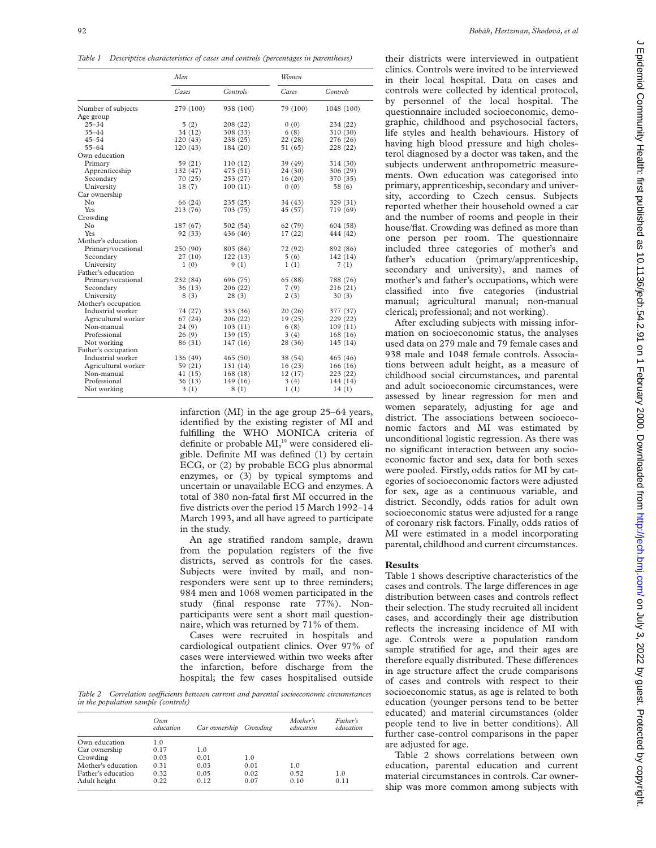*Table 1 Descriptive characteristics of cases and controls (percentages in parentheses)*

| Men       |                                                                                                                    | Women                                                                                       |                                                                                                   |
|-----------|--------------------------------------------------------------------------------------------------------------------|---------------------------------------------------------------------------------------------|---------------------------------------------------------------------------------------------------|
| Cases     | Controls                                                                                                           | Cases                                                                                       | <b>Controls</b>                                                                                   |
| 279 (100) | 938 (100)                                                                                                          | 79 (100)                                                                                    | 1048 (100)                                                                                        |
|           |                                                                                                                    |                                                                                             |                                                                                                   |
|           |                                                                                                                    | 0(0)                                                                                        | 234 (22)                                                                                          |
|           | 308 (33)                                                                                                           |                                                                                             | 310 (30)                                                                                          |
|           |                                                                                                                    |                                                                                             | 276 (26)                                                                                          |
| 120(43)   | 184 (20)                                                                                                           | 51 (65)                                                                                     | 228 (22)                                                                                          |
|           |                                                                                                                    |                                                                                             |                                                                                                   |
| 59 (21)   | 110(12)                                                                                                            | 39 (49)                                                                                     | 314 (30)                                                                                          |
| 132 (47)  | 475 (51)                                                                                                           | 24 (30)                                                                                     | 306 (29)                                                                                          |
| 70(25)    | 253(27)                                                                                                            | 16(20)                                                                                      | 370 (35)                                                                                          |
| 18(7)     | 100(11)                                                                                                            | (0)                                                                                         | 58 (6)                                                                                            |
|           |                                                                                                                    |                                                                                             |                                                                                                   |
| 66 (24)   | 235(25)                                                                                                            | 34 (43)                                                                                     | 329 (31)                                                                                          |
| 213 (76)  | 703 (75)                                                                                                           | 45 (57)                                                                                     | 719 (69)                                                                                          |
|           |                                                                                                                    |                                                                                             |                                                                                                   |
| 187 (67)  | 502 (54)                                                                                                           | 62 (79)                                                                                     | 604 (58)                                                                                          |
| 92 (33)   | 436 (46)                                                                                                           | 17 (22)                                                                                     | 444 (42)                                                                                          |
|           |                                                                                                                    |                                                                                             |                                                                                                   |
| 250 (90)  | 805 (86)                                                                                                           | 72 (92)                                                                                     | 892 (86)                                                                                          |
| 27(10)    | 122(13)                                                                                                            | 5(6)                                                                                        | 142 (14)                                                                                          |
|           | 9(1)                                                                                                               |                                                                                             | 7(1)                                                                                              |
|           |                                                                                                                    |                                                                                             |                                                                                                   |
| 232 (84)  | 696 (75)                                                                                                           | 65 (88)                                                                                     | 788 (76)                                                                                          |
| 36(13)    | 206 (22)                                                                                                           | 7(9)                                                                                        | 216(21)                                                                                           |
|           | 28(3)                                                                                                              |                                                                                             | 30(3)                                                                                             |
|           |                                                                                                                    |                                                                                             |                                                                                                   |
| 74 (27)   | 333 (36)                                                                                                           | 20(26)                                                                                      | 377 (37)                                                                                          |
| 67 (24)   | 206 (22)                                                                                                           | 19(25)                                                                                      | 229 (22)                                                                                          |
| 24(9)     | 103(11)                                                                                                            | 6(8)                                                                                        | 109(11)                                                                                           |
|           |                                                                                                                    |                                                                                             | 168(16)                                                                                           |
|           |                                                                                                                    |                                                                                             | 145(14)                                                                                           |
|           |                                                                                                                    |                                                                                             |                                                                                                   |
|           |                                                                                                                    |                                                                                             | 465(46)                                                                                           |
|           |                                                                                                                    |                                                                                             | 166(16)                                                                                           |
|           |                                                                                                                    |                                                                                             | 223(22)                                                                                           |
|           |                                                                                                                    |                                                                                             | 144 (14)                                                                                          |
|           | 8(1)                                                                                                               |                                                                                             | 14(1)                                                                                             |
|           | 5(2)<br>34 (12)<br>120(43)<br>1(0)<br>8(3)<br>26(9)<br>86 (31)<br>136 (49)<br>59 (21)<br>41 (15)<br>36(13)<br>3(1) | 208 (22)<br>238 (25)<br>139 (15)<br>147 (16)<br>465(50)<br>131 (14)<br>168 (18)<br>149 (16) | 6(8)<br>22 (28)<br>1(1)<br>2(3)<br>3(4)<br>28 (36)<br>38 (54)<br>16(23)<br>12(17)<br>3(4)<br>1(1) |

infarction (MI) in the age group 25–64 years, identified by the existing register of MI and fulfilling the WHO MONICA criteria of definite or probable  $MI$ ,<sup>19</sup> were considered eligible. Definite MI was defined (1) by certain ECG, or (2) by probable ECG plus abnormal enzymes, or (3) by typical symptoms and uncertain or unavailable ECG and enzymes. A total of 380 non-fatal first MI occurred in the five districts over the period 15 March 1992–14 March 1993, and all have agreed to participate in the study.

An age stratified random sample, drawn from the population registers of the five districts, served as controls for the cases. Subjects were invited by mail, and nonresponders were sent up to three reminders; 984 men and 1068 women participated in the study (final response rate 77%). Nonparticipants were sent a short mail questionnaire, which was returned by 71% of them.

Cases were recruited in hospitals and cardiological outpatient clinics. Over 97% of cases were interviewed within two weeks after the infarction, before discharge from the hospital; the few cases hospitalised outside

Table 2 Correlation coefficients between current and parental socioeconomic circumstances *in the population sample (controls)*

|                    | Own<br>education | Car ownership Crowding |      | Mother's<br>education | Father's<br>education |
|--------------------|------------------|------------------------|------|-----------------------|-----------------------|
| Own education      | 1.0              |                        |      |                       |                       |
| Car ownership      | 0.17             | 1.0                    |      |                       |                       |
| Crowding           | 0.03             | 0.01                   | 1.0  |                       |                       |
| Mother's education | 0.31             | 0.03                   | 0.01 | 1.0                   |                       |
| Father's education | 0.32             | 0.05                   | 0.02 | 0.52                  | 1.0                   |
| Adult height       | 0.22             | 0.12                   | 0.07 | 0.10                  | 0.11                  |

their districts were interviewed in outpatient clinics. Controls were invited to be interviewed in their local hospital. Data on cases and controls were collected by identical protocol, by personnel of the local hospital. The questionnaire included socioeconomic, demographic, childhood and psychosocial factors, life styles and health behaviours. History of having high blood pressure and high cholesterol diagnosed by a doctor was taken, and the subjects underwent anthropometric measurements. Own education was categorised into primary, apprenticeship, secondary and university, according to Czech census. Subjects reported whether their household owned a car and the number of rooms and people in their house/flat. Crowding was defined as more than one person per room. The questionnaire included three categories of mother's and father's education (primary/apprenticeship, secondary and university), and names of mother's and father's occupations, which were classified into five categories (industrial manual; agricultural manual; non-manual clerical; professional; and not working).

After excluding subjects with missing information on socioeconomic status, the analyses used data on 279 male and 79 female cases and 938 male and 1048 female controls. Associations between adult height, as a measure of childhood social circumstances, and parental and adult socioeconomic circumstances, were assessed by linear regression for men and women separately, adjusting for age and district. The associations between socioeconomic factors and MI was estimated by unconditional logistic regression. As there was no significant interaction between any socioeconomic factor and sex, data for both sexes were pooled. Firstly, odds ratios for MI by categories of socioeconomic factors were adjusted for sex, age as a continuous variable, and district. Secondly, odds ratios for adult own socioeconomic status were adjusted for a range of coronary risk factors. Finally, odds ratios of MI were estimated in a model incorporating parental, childhood and current circumstances.

#### **Results**

Table 1 shows descriptive characteristics of the cases and controls. The large differences in age distribution between cases and controls reflect their selection. The study recruited all incident cases, and accordingly their age distribution reflects the increasing incidence of MI with age. Controls were a population random sample stratified for age, and their ages are therefore equally distributed. These differences in age structure affect the crude comparisons of cases and controls with respect to their socioeconomic status, as age is related to both education (younger persons tend to be better educated) and material circumstances (older people tend to live in better conditions). All further case-control comparisons in the paper are adjusted for age.

Table 2 shows correlations between own education, parental education and current material circumstances in controls. Car ownership was more common among subjects with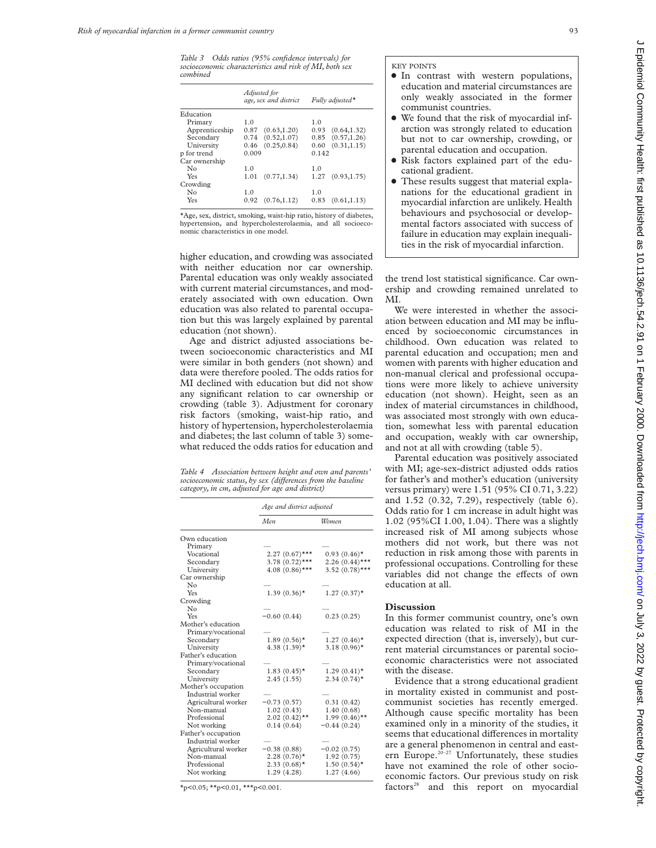*Table 3 Odds ratios (95% confidence intervals) for socioeconomic characteristics and risk of MI, both sex combined*

|                | Adjusted for<br>age, sex and district | Fully adjusted $*$   |
|----------------|---------------------------------------|----------------------|
| Education      |                                       |                      |
| Primary        | 1.0                                   | 1.0                  |
| Apprenticeship | (0.63, 1.20)<br>0.87                  | (0.64, 1.32)<br>0.93 |
| Secondary      | (0.52, 1.07)<br>0.74                  | (0.57, 1.26)<br>0.85 |
| University     | (0.25, 0.84)<br>0.46                  | (0.31, 1.15)<br>0.60 |
| p for trend    | 0.009                                 | 0.142                |
| Car ownership  |                                       |                      |
| No             | 1.0                                   | 1.0                  |
| Yes            | (0.77, 1.34)<br>1.01                  | (0.93, 1.75)<br>1.27 |
| Crowding       |                                       |                      |
| No             | 1.0                                   | 1.0                  |
| Yes            | 0.92<br>(0.76.1.12)                   | (0.61, 1.13)<br>0.83 |

\*Age, sex, district, smoking, waist-hip ratio, history of diabetes, hypertension, and hypercholesterolaemia, and all socioeconomic characteristics in one model.

higher education, and crowding was associated with neither education nor car ownership. Parental education was only weakly associated with current material circumstances, and moderately associated with own education. Own education was also related to parental occupation but this was largely explained by parental education (not shown).

Age and district adjusted associations between socioeconomic characteristics and MI were similar in both genders (not shown) and data were therefore pooled. The odds ratios for MI declined with education but did not show any significant relation to car ownership or crowding (table 3). Adjustment for coronary risk factors (smoking, waist-hip ratio, and history of hypertension, hypercholesterolaemia and diabetes; the last column of table 3) somewhat reduced the odds ratios for education and

*Table 4 Association between height and own and parents' socioeconomic status, by sex (differences from the baseline category, in cm, adjusted for age and district)*

|                     | Age and district adjusted |                   |
|---------------------|---------------------------|-------------------|
|                     | Men                       | Women             |
| Own education       |                           |                   |
| Primary             |                           |                   |
| Vocational          | $2.27(0.67)$ ***          | $0.93(0.46)$ *    |
| Secondary           | 3.78 $(0.72)$ ***         | 2.26 $(0.44)$ *** |
| University          | $4.08(0.86)$ ***          | 3.52 $(0.78)$ *** |
| Car ownership       |                           |                   |
| No                  |                           |                   |
| Yes                 | $1.39(0.36)$ *            | $1.27(0.37)$ *    |
| Crowding            |                           |                   |
| No                  |                           |                   |
| Yes                 | $-0.60(0.44)$             | 0.23(0.25)        |
| Mother's education  |                           |                   |
| Primary/vocational  |                           |                   |
| Secondary           | $1.89(0.56)$ *            | $1.27(0.46)$ *    |
| University          | 4.38 $(1.39)$ *           | 3.18 $(0.96)$ *   |
| Father's education  |                           |                   |
| Primary/vocational  |                           |                   |
| Secondary           | $1.83(0.45)$ *            | $1.29(0.41)$ *    |
| University          | 2.45(1.55)                | $2.34(0.74)$ *    |
| Mother's occupation |                           |                   |
| Industrial worker   |                           |                   |
| Agricultural worker | $-0.73(0.57)$             | 0.31(0.42)        |
| Non-manual          | 1.02(0.43)                | 1.40(0.68)        |
| Professional        | $2.02(0.42)$ **           | $1.99(0.46)$ **   |
| Not working         | 0.14(0.64)                | $-0.44(0.24)$     |
| Father's occupation |                           |                   |
| Industrial worker   |                           |                   |
| Agricultural worker | $-0.38(0.88)$             | $-0.02(0.75)$     |
| Non-manual          | $2.28(0.76)$ *            | 1.92(0.75)        |
| Professional        | $2.33(0.68)$ *            | $1.50(0.54)$ *    |
| Not working         | 1.29(4.28)                | 1.27(4.66)        |

 $\star$ p<0.05;  $\star\star$ p<0.01,  $\star\star\star$ p<0.001.

### KEY POINTS

- $\bullet$  In contrast with western populations, education and material circumstances are only weakly associated in the former communist countries.
- We found that the risk of myocardial infarction was strongly related to education but not to car ownership, crowding, or parental education and occupation.
- Risk factors explained part of the educational gradient.
- $\bullet$  These results suggest that material explanations for the educational gradient in myocardial infarction are unlikely. Health behaviours and psychosocial or developmental factors associated with success of failure in education may explain inequalities in the risk of myocardial infarction.

the trend lost statistical significance. Car ownership and crowding remained unrelated to MI.

We were interested in whether the association between education and MI may be influenced by socioeconomic circumstances in childhood. Own education was related to parental education and occupation; men and women with parents with higher education and non-manual clerical and professional occupations were more likely to achieve university education (not shown). Height, seen as an index of material circumstances in childhood, was associated most strongly with own education, somewhat less with parental education and occupation, weakly with car ownership, and not at all with crowding (table 5).

Parental education was positively associated with MI; age-sex-district adjusted odds ratios for father's and mother's education (university versus primary) were 1.51 (95% CI 0.71, 3.22) and 1.52 (0.32, 7.29), respectively (table 6). Odds ratio for 1 cm increase in adult hight was 1.02 (95%CI 1.00, 1.04). There was a slightly increased risk of MI among subjects whose mothers did not work, but there was not reduction in risk among those with parents in professional occupations. Controlling for these variables did not change the effects of own education at all.

# **Discussion**

In this former communist country, one's own education was related to risk of MI in the expected direction (that is, inversely), but current material circumstances or parental socioeconomic characteristics were not associated with the disease.

Evidence that a strong educational gradient in mortality existed in communist and postcommunist societies has recently emerged. Although cause specific mortality has been examined only in a minority of the studies, it seems that educational differences in mortality are a general phenomenon in central and eastern Europe. $2\overline{0}-27$  Unfortunately, these studies have not examined the role of other socioeconomic factors. Our previous study on risk factors<sup>28</sup> and this report on myocardial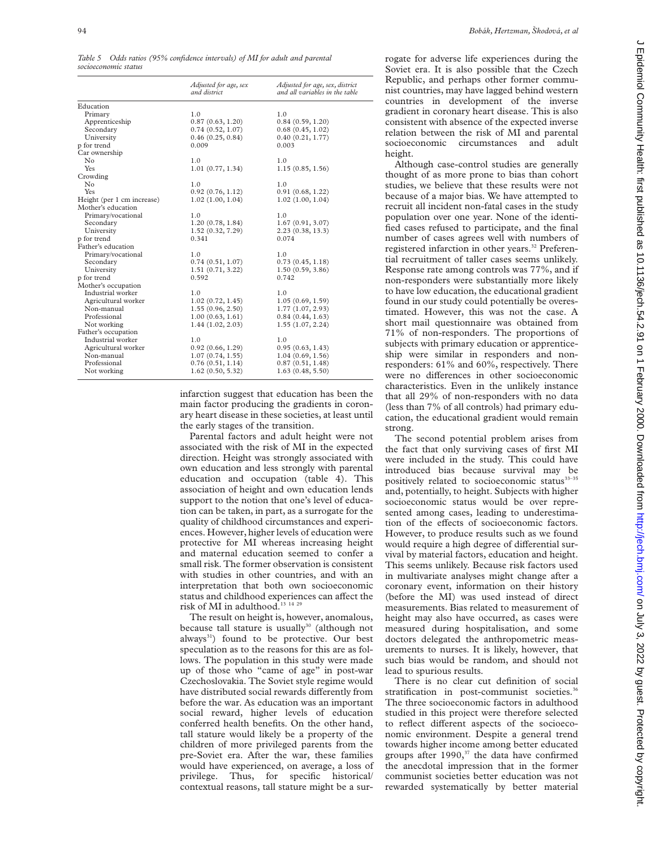*Table 5 Odds ratios (95% confidence intervals) of MI for adult and parental socioeconomic status*

|                            | Adjusted for age, sex<br>and district | Adjusted for age, sex, district<br>and all variables in the table |
|----------------------------|---------------------------------------|-------------------------------------------------------------------|
| Education                  |                                       |                                                                   |
| Primary                    | 1.0                                   | 1.0                                                               |
| Apprenticeship             | 0.87(0.63, 1.20)                      | 0.84(0.59, 1.20)                                                  |
| Secondary                  | 0.74(0.52, 1.07)                      | 0.68(0.45, 1.02)                                                  |
| University                 | 0.46(0.25, 0.84)                      | 0.40(0.21, 1.77)                                                  |
| p for trend                | 0.009                                 | 0.003                                                             |
| Car ownership              |                                       |                                                                   |
| No                         | 1.0                                   | 1.0                                                               |
| Yes                        | 1.01(0.77, 1.34)                      | 1.15(0.85, 1.56)                                                  |
| Crowding                   |                                       |                                                                   |
| No                         | 1.0                                   | 1.0                                                               |
| Yes                        | 0.92(0.76, 1.12)                      | 0.91(0.68, 1.22)                                                  |
| Height (per 1 cm increase) | 1.02(1.00, 1.04)                      | 1.02(1.00, 1.04)                                                  |
| Mother's education         |                                       |                                                                   |
| Primary/vocational         | 1.0                                   | 1.0                                                               |
| Secondary                  | 1.20(0.78, 1.84)                      | 1.67(0.91, 3.07)                                                  |
| University                 | 1.52(0.32, 7.29)                      | 2.23(0.38, 13.3)                                                  |
| p for trend                | 0.341                                 | 0.074                                                             |
| Father's education         |                                       |                                                                   |
| Primary/vocational         | 1.0                                   | 1.0                                                               |
| Secondary                  | 0.74(0.51, 1.07)                      | 0.73(0.45, 1.18)                                                  |
| University                 | 1.51(0.71, 3.22)                      | 1.50(0.59, 3.86)                                                  |
| p for trend                | 0.592                                 | 0.742                                                             |
| Mother's occupation        |                                       |                                                                   |
| Industrial worker          | 1.0                                   | 1.0                                                               |
| Agricultural worker        | 1.02(0.72, 1.45)                      | 1.05(0.69, 1.59)                                                  |
| Non-manual                 | 1.55(0.96, 2.50)                      | 1.77(1.07, 2.93)                                                  |
| Professional               | 1.00(0.63, 1.61)                      | 0.84(0.44, 1.63)                                                  |
| Not working                | 1.44(1.02, 2.03)                      | 1.55(1.07, 2.24)                                                  |
| Father's occupation        |                                       |                                                                   |
| Industrial worker          | 1.0                                   | 1.0                                                               |
| Agricultural worker        | 0.92(0.66, 1.29)                      | 0.95(0.63, 1.43)                                                  |
| Non-manual                 | 1.07(0.74, 1.55)                      | 1.04(0.69, 1.56)                                                  |
| Professional               | 0.76(0.51, 1.14)                      | 0.87(0.51, 1.48)                                                  |
| Not working                | 1.62(0.50, 5.32)                      | 1.63(0.48, 5.50)                                                  |

infarction suggest that education has been the main factor producing the gradients in coronary heart disease in these societies, at least until the early stages of the transition.

Parental factors and adult height were not associated with the risk of MI in the expected direction. Height was strongly associated with own education and less strongly with parental education and occupation (table 4). This association of height and own education lends support to the notion that one's level of education can be taken, in part, as a surrogate for the quality of childhood circumstances and experiences. However, higher levels of education were protective for MI whereas increasing height and maternal education seemed to confer a small risk. The former observation is consistent with studies in other countries, and with an interpretation that both own socioeconomic status and childhood experiences can affect the risk of MI in adulthood.13 14 29

The result on height is, however, anomalous, because tall stature is usually $30$  (although not always<sup>31</sup>) found to be protective. Our best speculation as to the reasons for this are as follows. The population in this study were made up of those who "came of age" in post-war Czechoslovakia. The Soviet style regime would have distributed social rewards differently from before the war. As education was an important social reward, higher levels of education conferred health benefits. On the other hand, tall stature would likely be a property of the children of more privileged parents from the pre-Soviet era. After the war, these families would have experienced, on average, a loss of privilege. Thus, for specific historical/ contextual reasons, tall stature might be a surrogate for adverse life experiences during the Soviet era. It is also possible that the Czech Republic, and perhaps other former communist countries, may have lagged behind western countries in development of the inverse gradient in coronary heart disease. This is also consistent with absence of the expected inverse relation between the risk of MI and parental socioeconomic circumstances and adult height.

Although case-control studies are generally thought of as more prone to bias than cohort studies, we believe that these results were not because of a major bias. We have attempted to recruit all incident non-fatal cases in the study population over one year. None of the identified cases refused to participate, and the final number of cases agrees well with numbers of registered infarction in other years.<sup>32</sup> Preferential recruitment of taller cases seems unlikely. Response rate among controls was 77%, and if non-responders were substantially more likely to have low education, the educational gradient found in our study could potentially be overestimated. However, this was not the case. A short mail questionnaire was obtained from 71% of non-responders. The proportions of subjects with primary education or apprenticeship were similar in responders and nonresponders: 61% and 60%, respectively. There were no differences in other socioeconomic characteristics. Even in the unlikely instance that all 29% of non-responders with no data (less than 7% of all controls) had primary education, the educational gradient would remain strong.

The second potential problem arises from the fact that only surviving cases of first MI were included in the study. This could have introduced bias because survival may be positively related to socioeconomic status<sup>33-35</sup> and, potentially, to height. Subjects with higher socioeconomic status would be over represented among cases, leading to underestimation of the effects of socioeconomic factors. However, to produce results such as we found would require a high degree of differential survival by material factors, education and height. This seems unlikely. Because risk factors used in multivariate analyses might change after a coronary event, information on their history (before the MI) was used instead of direct measurements. Bias related to measurement of height may also have occurred, as cases were measured during hospitalisation, and some doctors delegated the anthropometric measurements to nurses. It is likely, however, that such bias would be random, and should not lead to spurious results.

There is no clear cut definition of social stratification in post-communist societies.<sup>36</sup> The three socioeconomic factors in adulthood studied in this project were therefore selected to reflect different aspects of the socioeconomic environment. Despite a general trend towards higher income among better educated groups after  $1990$ ,<sup>37</sup> the data have confirmed the anecdotal impression that in the former communist societies better education was not rewarded systematically by better material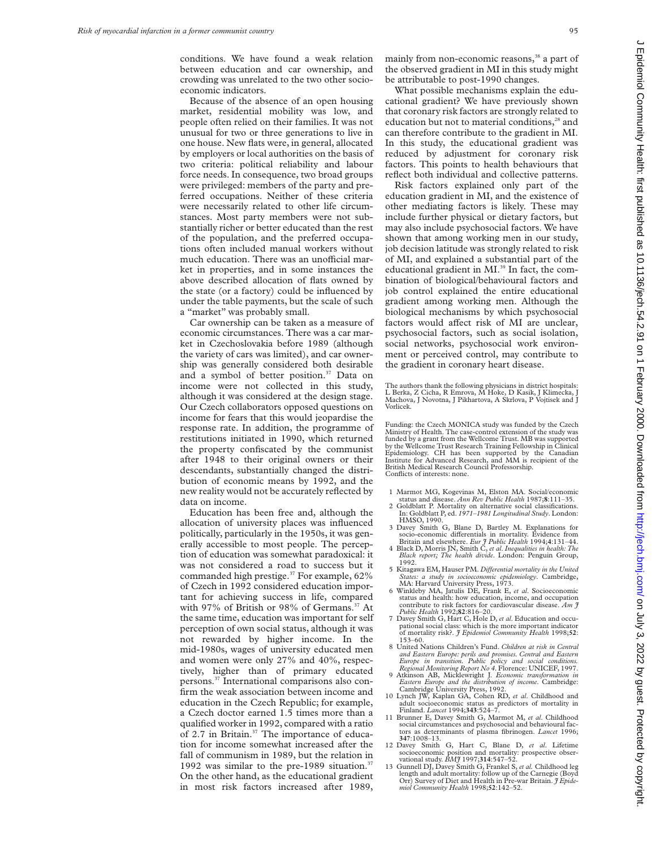conditions. We have found a weak relation between education and car ownership, and crowding was unrelated to the two other socioeconomic indicators.

Because of the absence of an open housing market, residential mobility was low, and people often relied on their families. It was not unusual for two or three generations to live in one house. New flats were, in general, allocated by employers or local authorities on the basis of two criteria: political reliability and labour force needs. In consequence, two broad groups were privileged: members of the party and preferred occupations. Neither of these criteria were necessarily related to other life circumstances. Most party members were not substantially richer or better educated than the rest of the population, and the preferred occupations often included manual workers without much education. There was an unofficial market in properties, and in some instances the above described allocation of flats owned by the state (or a factory) could be influenced by under the table payments, but the scale of such a "market" was probably small.

Car ownership can be taken as a measure of economic circumstances. There was a car market in Czechoslovakia before 1989 (although the variety of cars was limited), and car ownership was generally considered both desirable and a symbol of better position.<sup>37</sup> Data on income were not collected in this study, although it was considered at the design stage. Our Czech collaborators opposed questions on income for fears that this would jeopardise the response rate. In addition, the programme of restitutions initiated in 1990, which returned the property confiscated by the communist after 1948 to their original owners or their descendants, substantially changed the distribution of economic means by 1992, and the new reality would not be accurately reflected by data on income.

Education has been free and, although the allocation of university places was influenced politically, particularly in the 1950s, it was generally accessible to most people. The perception of education was somewhat paradoxical: it was not considered a road to success but it commanded high prestige.<sup>37</sup> For example, 62% of Czech in 1992 considered education important for achieving success in life, compared with 97% of British or 98% of Germans.<sup>37</sup> At the same time, education was important for self perception of own social status, although it was not rewarded by higher income. In the mid-1980s, wages of university educated men and women were only 27% and 40%, respectively, higher than of primary educated persons.37 International comparisons also confirm the weak association between income and education in the Czech Republic; for example, a Czech doctor earned 1.5 times more than a qualified worker in 1992, compared with a ratio of 2.7 in Britain. $37$  The importance of education for income somewhat increased after the fall of communism in 1989, but the relation in 1992 was similar to the pre-1989 situation. $37$ On the other hand, as the educational gradient in most risk factors increased after 1989,

mainly from non-economic reasons,<sup>38</sup> a part of the observed gradient in MI in this study might be attributable to post-1990 changes.

What possible mechanisms explain the educational gradient? We have previously shown that coronary risk factors are strongly related to education but not to material conditions,<sup>28</sup> and can therefore contribute to the gradient in MI. In this study, the educational gradient was reduced by adjustment for coronary risk factors. This points to health behaviours that reflect both individual and collective patterns.

Risk factors explained only part of the education gradient in MI, and the existence of other mediating factors is likely. These may include further physical or dietary factors, but may also include psychosocial factors. We have shown that among working men in our study, job decision latitude was strongly related to risk of MI, and explained a substantial part of the educational gradient in MI.<sup>39</sup> In fact, the combination of biological/behavioural factors and job control explained the entire educational gradient among working men. Although the biological mechanisms by which psychosocial factors would affect risk of MI are unclear, psychosocial factors, such as social isolation, social networks, psychosocial work environment or perceived control, may contribute to the gradient in coronary heart disease.

The authors thank the following physicians in district hospitals: L Berka, Z Cicha, R Emrova, M Hoke, D Kasik, J Klimecka, J Machova, J Novotna, J Pikhartova, A Skrlova, P Vojtisek and J Vorlicek.

Funding: the Czech MONICA study was funded by the Czech Ministry of Health. The case-control extension of the study was funded by a grant from the Wellcome Trust. MB was supported by the Wellcome Trust Research Training Fellowship in Clinical Epidemiology. CH has been supported by the Canadian Institute for Advanced Research, and MM is recipient of the British Medical Research Council Professorship. Conflicts of interests: none.

- 1 Marmot MG, Kogevinas M, Elston MA. Social/economic
- status and disease. *Ann Rev Public Health* 1987;**8**:111–35. 2 Goldblatt P. Mortality on alternative social classifications. In: Goldblatt P, ed. *1971–1981 Longitudinal Study*. London:
- HMSO, 1990. 3 Davey Smith G, Blane D, Bartley M. Explanations for
- socio-economic differentials in mortality. Évidence from<br>Britain and elsewhere. *Eur J Public Health* 1994;4:131–44.<br>4 Black D, Morris JN, Smith C, *et al. Inequalities in health: The Black report; The health divide*. London: Penguin Group, 1992.
- 5 Kitagawa EM, Hauser PM. *DiVerential mortality in the United States: a study in socioeconomic epidemiology*. Cambridge, MA: Harvard University Press, 1973.
- 6 Winkleby MA, Jatulis DE, Frank E, *et al*. Socioeconomic status and health: how education, income, and occupation contribute to risk factors for cardiovascular disease. *Am J*<br>*Public Health* 1992:82:816–20
- 7 Davey Smith G, Hart C, Hole D, et al. Education and occupational social class: which is the more important indicator of mortality risk?. *J Epidemiol Community Health* 1998;**52**:
- 153–60. 8 United Nations Children's Fund. *Children at risk in Central and Eastern Europe: perils and promises. Central and Eastern Europe in transition. Public policy and social conditions. Regional Monitoring Report No 4*. Florence: UNICEF, 1997.
- 9 Atkinson AB, Micklewright J. *Economic transformation in Eastern Europe and the distribution of income*. Cambridge: Cambridge University Press, 1992.
- 10 Lynch JW, Kaplan GA, Cohen RD, *et al*. Childhood and adult socioeconomic status as predictors of mortality in<br>Finland, *Lancet* 1994;343:524-7.
- Finland. *Lancet* 1994;**343**:524–7. 11 Brunner E, Davey Smith G, Marmot M, *et al*. Childhood social circumstances and psychosocial and behavioural factors as determinants of plasma fibrinogen. *Lancet* 1996;
- **<sup>347</sup>**:1008–13. 12 Davey Smith G, Hart C, Blane D, *et al*. Lifetime socioeconomic position and mortality: prospective obser-vational study. *BMJ* 1997;**314**:547–52.
- 13 Gunnell DJ, Davey Smith G, Frankel S, *et al.* Childhood leg length and adult mortality: follow up of the Carnegie (Boyd Orr) Survey of Diet and Health in Pre-war Britain. *J Epidemiol Community Health* 1998;**52**:142–52.